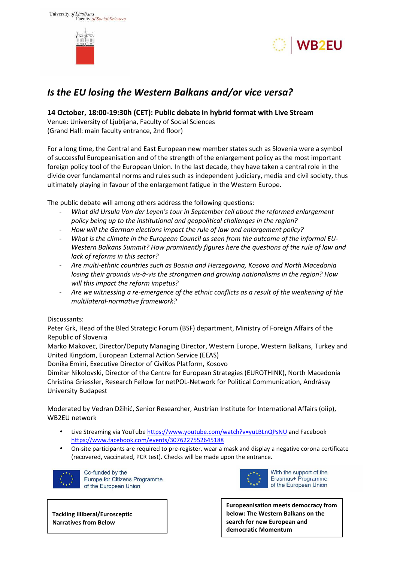





# *Is the EU losing the Western Balkans and/or vice versa?*

## **14 October, 18:00-19:30h (CET): Public debate in hybrid format with Live Stream**

Venue: University of Ljubljana, Faculty of Social Sciences (Grand Hall: main faculty entrance, 2nd floor)

For a long time, the Central and East European new member states such as Slovenia were a symbol of successful Europeanisation and of the strength of the enlargement policy as the most important foreign policy tool of the European Union. In the last decade, they have taken a central role in the divide over fundamental norms and rules such as independent judiciary, media and civil society, thus ultimately playing in favour of the enlargement fatigue in the Western Europe.

The public debate will among others address the following questions:

- *What did Ursula Von der Leyen's tour in September tell about the reformed enlargement policy being up to the institutional and geopolitical challenges in the region?*
- *How will the German elections impact the rule of law and enlargement policy?*
- What is the climate in the European Council as seen from the outcome of the informal EU-*Western Balkans Summit? How prominently figures here the questions of the rule of law and lack of reforms in this sector?*
- *Are multi-ethnic countries such as Bosnia and Herzegovina, Kosovo and North Macedonia losing their grounds vis-à-vis the strongmen and growing nationalisms in the region? How will this impact the reform impetus?*
- *Are we witnessing a re-emergence of the ethnic conflicts as a result of the weakening of the multilateral-normative framework?*

#### Discussants:

Peter Grk, Head of the Bled Strategic Forum (BSF) department, Ministry of Foreign Affairs of the Republic of Slovenia

Marko Makovec, Director/Deputy Managing Director, Western Europe, Western Balkans, Turkey and United Kingdom, European External Action Service (EEAS)

Donika Emini, Executive Director of CiviKos Platform, Kosovo

Dimitar Nikolovski, Director of the Centre for European Strategies (EUROTHINK), North Macedonia Christina Griessler, Research Fellow for netPOL-Network for Political Communication, Andrássy University Budapest

Moderated by Vedran Džihić, Senior Researcher, Austrian Institute for International Affairs (oiip), WB2EU network

- Live Streaming via YouTube https://www.youtube.com/watch?v=yuLBLnQPsNU and Facebook https://www.facebook.com/events/3076227552645188
- On-site participants are required to pre-register, wear a mask and display a negative corona certificate (recovered, vaccinated, PCR test). Checks will be made upon the entrance.



Co-funded by the Europe for Citizens Programme of the European Union



With the support of the Erasmus+ Programme of the European Union

**Europeanisation meets democracy from below: The Western Balkans on the search for new European and democratic Momentum**

**Tackling Illiberal/Eurosceptic Narratives from Below**